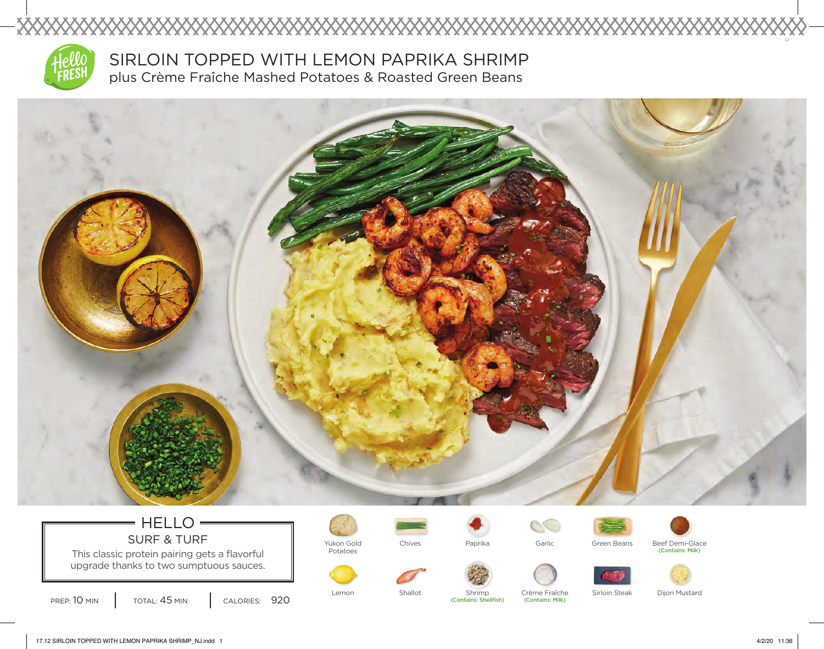

SIRLOIN TOPPED WITH LEMON PAPRIKA SHRIMP plus Crème Fraîche Mashed Potatoes & Roasted Green Beans



Lemon Shallot Shrimp

### 17.12 SIRLOIN TOPPED WITH LEMON PAPRIKA SHRIMP\_NJ.indd 1 4/2/20 11:36

HELLO

**XXXXXXXXXXXXXXXXXXXXXXXXXXXXX** 

This classic protein pairing gets a flavorful upgrade thanks to two sumptuous sauces.

SURF & TURF  $\parallel$  Yukon Gold

Potatoes

PREP: 10 MIN | TOTAL: 45 MIN | CALORIES: 920

Crème Fraîche Sirloin Steak Dijon Mustard

(Contains: Milk)

Paprika **Beef Demi-Glace** Green Beans Beef Demi-Glace

Chives **Garlic** Paprika **Garlic** Green Beans

(Contains: Milk)

 $\mathbb{C}$ 

(Contains: Shellfish)

12